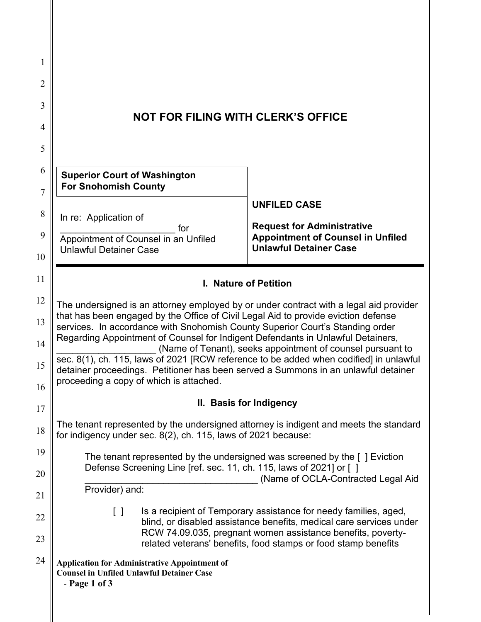| 1<br>$\overline{2}$<br>3<br>4<br>5<br>6 | <b>NOT FOR FILING WITH CLERK'S OFFICE</b>                                                                                                                                                                                                                                                                                                                                                                                                                                                                                                                                                                                                 |                                                                                                                                         |
|-----------------------------------------|-------------------------------------------------------------------------------------------------------------------------------------------------------------------------------------------------------------------------------------------------------------------------------------------------------------------------------------------------------------------------------------------------------------------------------------------------------------------------------------------------------------------------------------------------------------------------------------------------------------------------------------------|-----------------------------------------------------------------------------------------------------------------------------------------|
| $\overline{7}$                          | <b>Superior Court of Washington</b><br><b>For Snohomish County</b>                                                                                                                                                                                                                                                                                                                                                                                                                                                                                                                                                                        |                                                                                                                                         |
| 8                                       | In re: Application of                                                                                                                                                                                                                                                                                                                                                                                                                                                                                                                                                                                                                     | <b>UNFILED CASE</b>                                                                                                                     |
| 9<br>10                                 | for<br>Appointment of Counsel in an Unfiled<br><b>Unlawful Detainer Case</b>                                                                                                                                                                                                                                                                                                                                                                                                                                                                                                                                                              | <b>Request for Administrative</b><br><b>Appointment of Counsel in Unfiled</b><br><b>Unlawful Detainer Case</b>                          |
| 11                                      | I. Nature of Petition                                                                                                                                                                                                                                                                                                                                                                                                                                                                                                                                                                                                                     |                                                                                                                                         |
| 12<br>13<br>14<br>15<br>16              | The undersigned is an attorney employed by or under contract with a legal aid provider<br>that has been engaged by the Office of Civil Legal Aid to provide eviction defense<br>services. In accordance with Snohomish County Superior Court's Standing order<br>Regarding Appointment of Counsel for Indigent Defendants in Unlawful Detainers,<br>(Name of Tenant), seeks appointment of counsel pursuant to<br>sec. 8(1), ch. 115, laws of 2021 [RCW reference to be added when codified] in unlawful<br>detainer proceedings. Petitioner has been served a Summons in an unlawful detainer<br>proceeding a copy of which is attached. |                                                                                                                                         |
| 17                                      | II. Basis for Indigency                                                                                                                                                                                                                                                                                                                                                                                                                                                                                                                                                                                                                   |                                                                                                                                         |
| 18                                      | The tenant represented by the undersigned attorney is indigent and meets the standard<br>for indigency under sec. 8(2), ch. 115, laws of 2021 because:                                                                                                                                                                                                                                                                                                                                                                                                                                                                                    |                                                                                                                                         |
| 19<br>20                                | The tenant represented by the undersigned was screened by the $\lceil \cdot \rceil$ Eviction<br>Defense Screening Line [ref. sec. 11, ch. 115, laws of 2021] or []                                                                                                                                                                                                                                                                                                                                                                                                                                                                        | (Name of OCLA-Contracted Legal Aid                                                                                                      |
| 21                                      | Provider) and:                                                                                                                                                                                                                                                                                                                                                                                                                                                                                                                                                                                                                            |                                                                                                                                         |
| 22                                      | $\left[ \begin{array}{c} \end{array} \right]$                                                                                                                                                                                                                                                                                                                                                                                                                                                                                                                                                                                             | Is a recipient of Temporary assistance for needy families, aged,<br>blind, or disabled assistance benefits, medical care services under |
| 23                                      |                                                                                                                                                                                                                                                                                                                                                                                                                                                                                                                                                                                                                                           | RCW 74.09.035, pregnant women assistance benefits, poverty-<br>related veterans' benefits, food stamps or food stamp benefits           |
| 24                                      | <b>Application for Administrative Appointment of</b><br><b>Counsel in Unfiled Unlawful Detainer Case</b><br>$-$ Page 1 of 3                                                                                                                                                                                                                                                                                                                                                                                                                                                                                                               |                                                                                                                                         |

 $\mathsf{I}$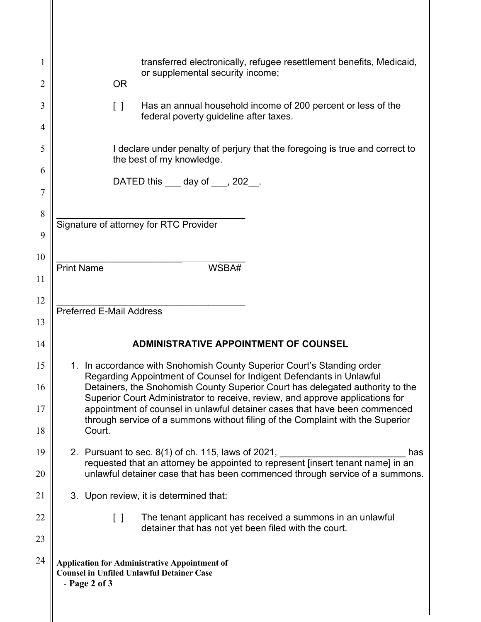| 1              | transferred electronically, refugee resettlement benefits, Medicaid,<br>or supplemental security income;                                                                                                                                                                                                         |  |
|----------------|------------------------------------------------------------------------------------------------------------------------------------------------------------------------------------------------------------------------------------------------------------------------------------------------------------------|--|
| $\overline{2}$ | <b>OR</b>                                                                                                                                                                                                                                                                                                        |  |
| 3<br>4         | Has an annual household income of 200 percent or less of the<br>$\begin{bmatrix} 1 \end{bmatrix}$<br>federal poverty guideline after taxes.                                                                                                                                                                      |  |
| 5              | I declare under penalty of perjury that the foregoing is true and correct to<br>the best of my knowledge.                                                                                                                                                                                                        |  |
| 6              | DATED this ____ day of ___, 202__.                                                                                                                                                                                                                                                                               |  |
| $\overline{7}$ |                                                                                                                                                                                                                                                                                                                  |  |
| 8              | Signature of attorney for RTC Provider                                                                                                                                                                                                                                                                           |  |
| 9              |                                                                                                                                                                                                                                                                                                                  |  |
| 10             | <b>Print Name</b><br>WSBA#                                                                                                                                                                                                                                                                                       |  |
| 11             |                                                                                                                                                                                                                                                                                                                  |  |
| 12             | <b>Preferred E-Mail Address</b>                                                                                                                                                                                                                                                                                  |  |
| 13             |                                                                                                                                                                                                                                                                                                                  |  |
| 14             | <b>ADMINISTRATIVE APPOINTMENT OF COUNSEL</b>                                                                                                                                                                                                                                                                     |  |
| 15             | 1. In accordance with Snohomish County Superior Court's Standing order<br>Regarding Appointment of Counsel for Indigent Defendants in Unlawful<br>Detainers, the Snohomish County Superior Court has delegated authority to the<br>Superior Court Administrator to receive, review, and approve applications for |  |
| 16             |                                                                                                                                                                                                                                                                                                                  |  |
| 17             | appointment of counsel in unlawful detainer cases that have been commenced<br>through service of a summons without filing of the Complaint with the Superior                                                                                                                                                     |  |
| 18             | Court.                                                                                                                                                                                                                                                                                                           |  |
| 19             | 2. Pursuant to sec. $8(1)$ of ch. 115, laws of 2021,<br>has                                                                                                                                                                                                                                                      |  |
| 20             | requested that an attorney be appointed to represent [insert tenant name] in an<br>unlawful detainer case that has been commenced through service of a summons.                                                                                                                                                  |  |
| 21             | 3. Upon review, it is determined that:                                                                                                                                                                                                                                                                           |  |
| 22             | The tenant applicant has received a summons in an unlawful<br>$\Box$<br>detainer that has not yet been filed with the court.                                                                                                                                                                                     |  |
| 23             |                                                                                                                                                                                                                                                                                                                  |  |
| 24             | <b>Application for Administrative Appointment of</b><br><b>Counsel in Unfiled Unlawful Detainer Case</b><br>$-$ Page 2 of 3                                                                                                                                                                                      |  |